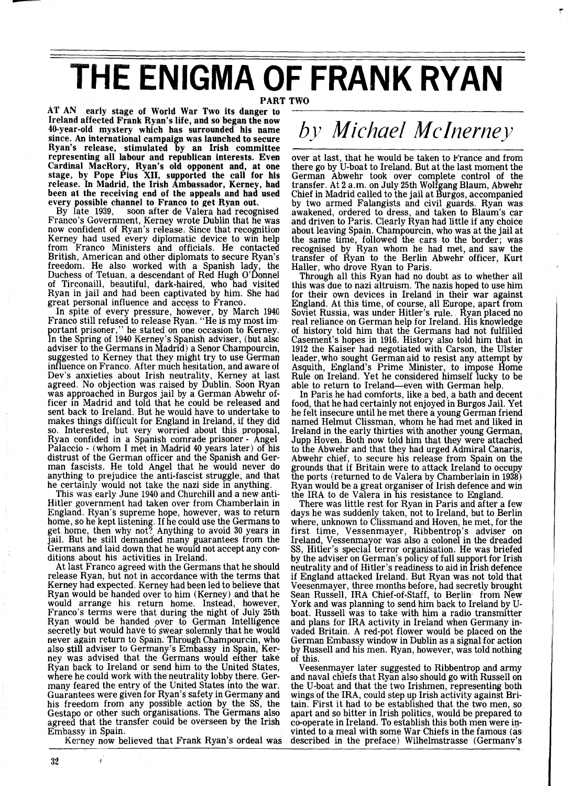## THE ENIGMA OF FRANK RYAN

PART TWO

AT AN early stage of World War Two its danger to Ireland affected Frank Ryan's life, and so began the now 40-year-old mystery which has surrounded his name since. An international campaign was launched to secure Ryan's release, stimulated by an Irish committee representing all labour and republican interests. Even Cardinal MacRory, Ryan's old opponent and, at one stage, by Pope Pius XII, supported the call for his release. In Madrid, the Irish Ambassador, Kerney, had been at the receiving end of the appeals and had used<br>every possible channel to Franco to get Ryan out.

every possible channel to Franco to get Ryan out.<br>By late 1939, soon after de Valera had recognised<br>Franco's Government, Kerney wrote Dublin that he was now confident of Ryan's release. Since that recognition Kerney had used every diplomatic device to win help from Franco Ministers and officials. He contacted British, American and other diplomats to secure Ryan's<br>freedom. He also worked with a\_Spanish lady, the Duchess of Tetuan, a descendant of Red Hugh **0'** 6 onnel of Tirconaill, beautiful, dark-haired, who had visited Ryan in jail and had been captivated by him. She had great personal influence and access to Franco.

In spite of every pressure, however, by March 1940 Franco still refused to release Ryan. "He is my most important prisoner," he stated on one occasion to Kerney. In the Spring of 1940 Kerney's Spanish adviser, (but also adviser to the Germans in Madrid) a Senor Champourcin, suggested to Kerney that they might try to use German influence on Franco. After much hesitation, and aware of Dev's anxieties about Irish neutrality, Kerney at last agreed. No objection was raised by Dublin. Soon Ryan agreed. No objection was raised by Dublin. Soon Ryan was approached in Burgos jail by a German Abwehr officer in Madrid and told that he could be released and sent back to Ireland. But he would have to undertake to makes things difficult for England in Ireland, if they did so. Interested, but very worried about this proposal, Ryan confided in a Spanish comrade prisoner - Angel Palaccio - (whom I met in Madrid 40 years later) of his distrust of the German officer and the Spanish and German fascists. He told Angel that he would never do anything to prejudice the anti-fascist struggle, and that

he certainly would not take the nazi side in anything. This was early June 1940 and Churchill and a new anti-Hitler government had taken over from Chamberlain in England. Ryan's supreme hope, however, was to return home, so he kept listening. If he could use the Germans to get home, then why not?. Anything to avoid 30 years in jail. But he still demanded many guarantees from the Germans and laid down that he would not accept any con- ditions about his activities in Ireland.

At last Franco agreed with the Germans that he should release Ryan, but not in accordance with the terms that Kerney had expected. Kerney had been led to believe that Ryan would be handed over to him (Kerney) and that he would arrange his return home. Instead, however, Franco's terms were that during the night of July 25th Ryan would be handed over to German Intelligence secretly but would have to swear solemnly that he would never again return to Spain. Through Champourcin, who also still adviser to Germany's Embassy in Spain, Kerney was advised that the Germans would either take Ryan back to Ireland or send him to the United States, where he could work with the neutrality lobby there. Germany feared the entry of the United States into the war. Guarantees were given for Ryan's safety in Germany and his freedom from any possible action by the SS, the Gestapo or other such organisations. The Germans also agreed that the transfer could be overseen by the Irish Embassy in Spain.

Kerney now believed that Frank Ryan's ordeal was

## *by Michael MC Inerney*

over at last, that he would be taken to France and from there go by U-boat to Ireland. But at the last moment the German Abwehr took over complete control of the transfer. At 2 a.m. on July 25th Wolfgang Blaum, Abwehr Chief in Madrid called to the jail at Burgos, accompanied by two armed Falangists and civil guards. Ryan was awakened, ordered to dress, and taken to Blaum's car about leaving Spain. Champourcin, who was at the jail at the same time, followed the cars to the border; was recognised by Ryan whom he had met, and saw the transfer of Ryan to the Berlin Abwehr officer, Kurt Haller, who drove Ryan to Paris.

Through all this Ryan had no doubt as to whether all this was due to nazi altruism. The nazis hoped to use him for their own devices in Ireland in their war against England. At this time, of course, all Europe, apart from Soviet Russia, was under Hitler's rule. Ryan placed no real reliance on German help for Ireland. His knowledge real reliance on German help for Ireland. His knowledge of history told him that the Germans had not fulfilled Casement's hopes in 1916. History also told him that in 1912 the Kaiser had negotiated with Carson, the Ulster leader, who sought German aid to resist any attempt by Asquith, England's Prime Minister, to impose Home Rule on Ireland. Yet he considered himself lucky to be able to return to Ireland—even with German help.

In Paris he had comforts, like a bed, a bath and decent food, that he had certainly not enjoyed in Burgos Jail. Yet he felt insecure until he met there a young German friend named Helmut Clissman, whom he had met and liked in Ireland in the early thirties with another young German, Jupp Hoven. Both now told him that they were attached to the Abwehr and that they had urged Admiral Canaris, Abwehr chief, to secure his release from Spain on the<br>grounds that if Britain were to attack Ireland to occupy the ports (returned to de Valera by Chamberlain in 1938) Ryan would be a great organiser of Irish defence and win<br>the IRA to de Valera in his resistance to England.

There was little rest for Ryan in Paris and after a few days he was suddenly taken, not to Ireland, but to Berlin where, unknown to Clissmand and Hoven, he met, for the first time, Vessenmayer, Ribbentrop's adviser on Ireland, Vessenmayor was also a colonel in the dreaded SS, Hitler's special terror organisation. He was briefed by the adviser on German's policy of full support for Irish neutrality and of Hitler's readiness to aid in *f* rish defence if England attacked Ireland. But Ryan was not told that Veesenmayer, three months before, had secretly brought Sean Russell, IRA Chief-of-Staff, to Berlin from New York and was planning to send him back to Ireland by Uboat. Russell was to take with him a radio transmitter and plans for IRA activity in Ireland when Germany invaded Britain. A red-pot flower would be placed on the German Embassy window in Dublin as a signal for action by Russell and his men. Ryan, however, was told nothing of this.<br>Veesenmayer later suggested to Ribbentrop and army

and naval chiefs that Ryan also should go with Russell on the U-boat and that the two Irishmen, representing both wings of the IRA, could step up Irish activity against Britain. First it had to be established that the two men, so apart and so bitter in Irish politics, would be prepared to co-operate in Ireland. To establish this both men were invinted to a meal with some War Chiefs in the famous (as described in the preface) Wilhelmstrasse (Germany's

32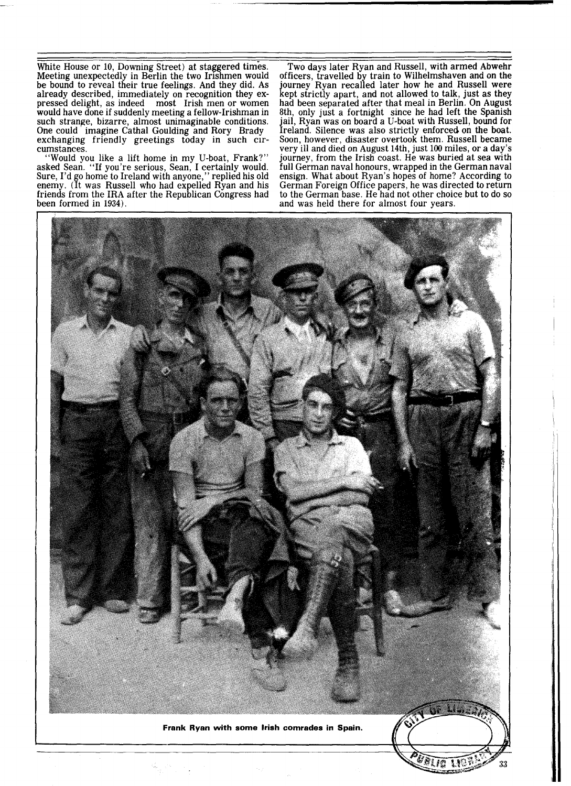White House or 10, Downing street) at staggered times. Meeting unexpectedly in Berlin the two Irishmen would be bound to reveal their true feelings. And they did. As already described, immediately on recognition they expressed delight, as indeed most Irish men or women would have done if suddenly meeting a fellow-Irishman in such strange, bizarre, almost unimaginable conditions. One could imagine Cathal Goulding and Rory Brady exchanging friendly greetings today in such circumstances.

"Would you like a lift home in my U-boat, Frank?" asked Sean. "If you're serious, Sean, I certainly would. Sure, I'd go home to Ireland with anyone," replied his old enemy. (It was Russell who had expelled Ryan and his friends from the IRA after the Republican Congress had been formed in 1934).

Two days later Ryan and Russell, with armed Abwehr officers, travelled by train to Wilhelmshaven and on the journey Ryan recalled later how he and Russell were<br>kept strictly apart, and not allowed to talk, just as they had been separated after that meal in Berlin. On August<br>8th, only just a fortnight since he had left the Spanish<br>jail, Ryan was on board a U-boat with Russell, bound for Ireland. Silence was also strictly enforced on the boat. Soon, however, disaster overtook them. Russell became very ill and died on August 14th, just 100 miles, or a day's journey, from the Irish coast. He was buried at sea with full German naval honours, wrapped in the German naval ensign. What about Ryan's hopes of home? According to German Foreign Office papers, he was directed to return to the German base. He had not other choice but to do so and was held there for almost four years.